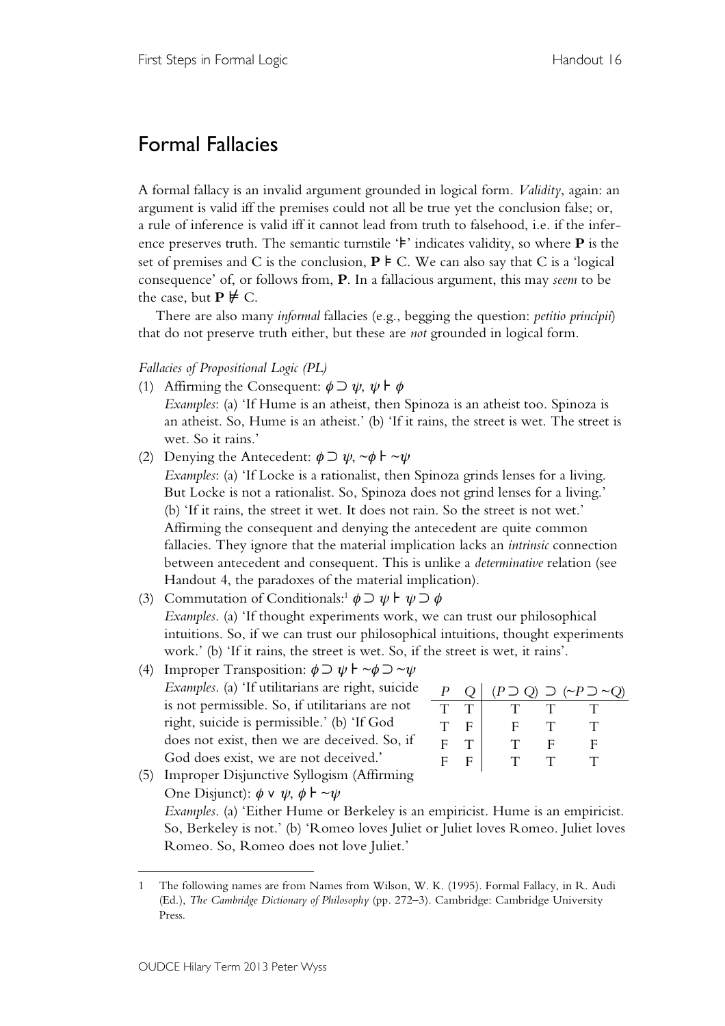# Formal Fallacies

A formal fallacy is an invalid argument grounded in logical form. *Validity*, again: an argument is valid iff the premises could not all be true yet the conclusion false; or, a rule of inference is valid iff it cannot lead from truth to falsehood, i.e. if the inference preserves truth. The semantic turnstile '⊧' indicates validity, so where **P** is the set of premises and C is the conclusion,  $P \models C$ . We can also say that C is a 'logical consequence' of, or follows from, **P**. In a fallacious argument, this may *seem* to be the case, but  $P \not\models C$ .

There are also many *informal* fallacies (e.g., begging the question: *petitio principii*) that do not preserve truth either, but these are *not* grounded in logical form.

## *Fallacies of Propositional Logic (PL)*

- (1) Affirming the Consequent:  $\phi \supset \psi$ ,  $\psi \models \phi$ *Examples*: (a) 'If Hume is an atheist, then Spinoza is an atheist too. Spinoza is an atheist. So, Hume is an atheist.' (b) 'If it rains, the street is wet. The street is wet. So it rains.'
- (2) Denying the Antecedent:  $\phi \supset \psi$ , ~ $\phi \vdash \neg \psi$ *Examples*: (a) 'If Locke is a rationalist, then Spinoza grinds lenses for a living. But Locke is not a rationalist. So, Spinoza does not grind lenses for a living.' (b) 'If it rains, the street it wet. It does not rain. So the street is not wet.' Affirming the consequent and denying the antecedent are quite common fallacies. They ignore that the material implication lacks an *intrinsic* connection between antecedent and consequent. This is unlike a *determinative* relation (see Handout 4, the paradoxes of the material implication).
- (3) Commutation of Conditionals:<sup>1</sup>  $\phi \supset \psi \vdash \psi \supset \phi$ *Examples*. (a) 'If thought experiments work, we can trust our philosophical intuitions. So, if we can trust our philosophical intuitions, thought experiments work.' (b) 'If it rains, the street is wet. So, if the street is wet, it rains'.
- (4) Improper Transposition:  $\phi \supset \psi \vdash \neg \phi \supset \neg \psi$ *Examples*. (a) 'If utilitarians are right, suicide is not permissible. So, if utilitarians are not right, suicide is permissible.' (b) 'If God does not exist, then we are deceived. So, if God does exist, we are not deceived.'

| $\, P \,$   |             |     |        | $(P \supset Q) \supset (\sim P \supset \sim Q)$ |
|-------------|-------------|-----|--------|-------------------------------------------------|
| T           |             | 11. | $\top$ |                                                 |
| $\mathbf T$ | F.          |     | T      |                                                 |
| $F_{\perp}$ |             | Ή÷  |        |                                                 |
| F           | $\mathbf F$ | T   |        |                                                 |
|             |             |     |        |                                                 |

(5) Improper Disjunctive Syllogism (Affirming One Disjunct):  $\phi \vee \psi$ ,  $\phi \vdash \neg \psi$ *Examples*. (a) 'Either Hume or Berkeley is an empiricist. Hume is an empiricist. So, Berkeley is not.' (b) 'Romeo loves Juliet or Juliet loves Romeo. Juliet loves Romeo. So, Romeo does not love Juliet.'

 $\overline{a}$ 

<sup>1</sup> The following names are from Names from Wilson, W. K. (1995). Formal Fallacy, in R. Audi (Ed.), *The Cambridge Dictionary of Philosophy* (pp. 272–3). Cambridge: Cambridge University Press.